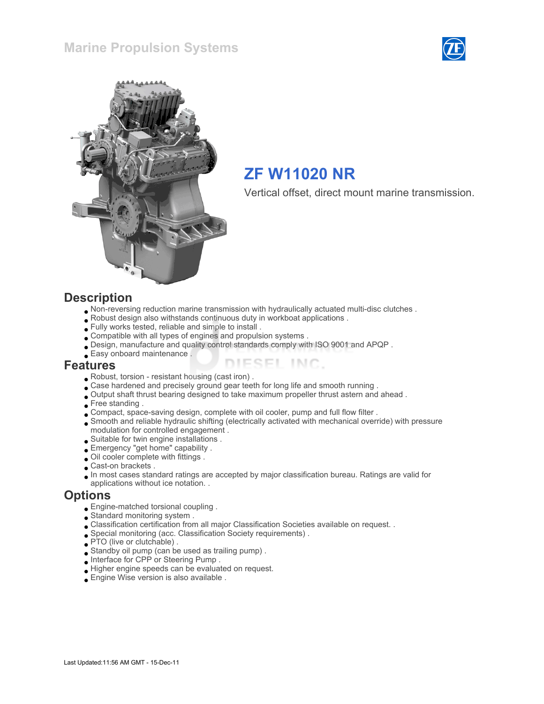



# ZF W11020 NR

Vertical offset, direct mount marine transmission.

#### **Description**

- Non-reversing reduction marine transmission with hydraulically actuated multi-disc clutches .
- Robust design also withstands continuous duty in workboat applications .
- Fully works tested, reliable and simple to install .
- Compatible with all types of engines and propulsion systems .
- Design, manufacture and quality control standards comply with ISO 9001 and APQP .
- Easy onboard maintenance .

#### Features

- Robust, torsion resistant housing (cast iron) .
- Case hardened and precisely ground gear teeth for long life and smooth running .
- Output shaft thrust bearing designed to take maximum propeller thrust astern and ahead .
- Free standing .
- Compact, space-saving design, complete with oil cooler, pump and full flow filter .
- Smooth and reliable hydraulic shifting (electrically activated with mechanical override) with pressure modulation for controlled engagement .

ESEL INC.

- Suitable for twin engine installations .
- Emergency "get home" capability .
- Oil cooler complete with fittings .
- Cast-on brackets .
- In most cases standard ratings are accepted by major classification bureau. Ratings are valid for
- applications without ice notation. .

#### **Options**

- Engine-matched torsional coupling .
- Standard monitoring system .
- Classification certification from all major Classification Societies available on request. .
- Special monitoring (acc. Classification Society requirements) .
- PTO (live or clutchable).
- Standby oil pump (can be used as trailing pump) .
- Interface for CPP or Steering Pump .
- Higher engine speeds can be evaluated on request.
- Engine Wise version is also available .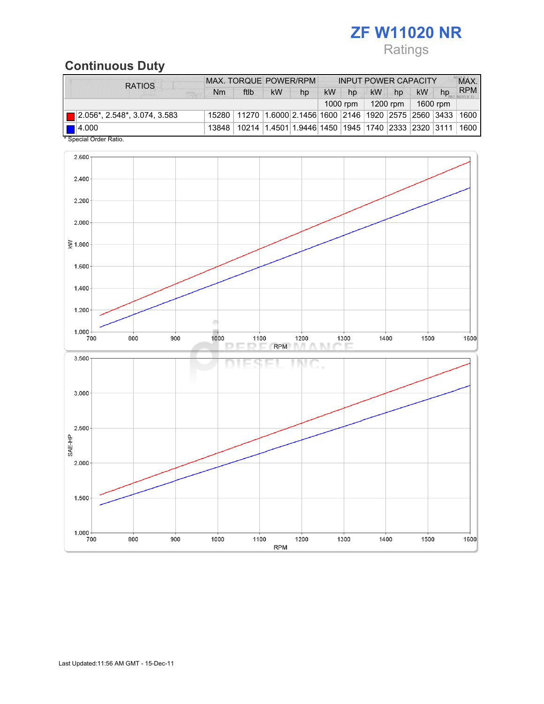# ZF W11020 NR

# Ratings

# Continuous Duty

| <b>RATIOS</b>                            | <b>MAX. TORQUE POWER/RPM</b> |                                                                                  |           | <b>INPUT POWER CAPACITY</b> |           |    |           |                      | MAX.      |          |            |
|------------------------------------------|------------------------------|----------------------------------------------------------------------------------|-----------|-----------------------------|-----------|----|-----------|----------------------|-----------|----------|------------|
|                                          | N <sub>m</sub>               | ftlb                                                                             | <b>kW</b> | hp                          | <b>kW</b> | hp | <b>kW</b> | hp                   | <b>kW</b> | hp       | <b>RPM</b> |
| 1000 rpm $\parallel$                     |                              |                                                                                  |           |                             |           |    |           | 1200 rpm $\parallel$ |           | 1600 rpm |            |
| $\boxed{ }$ 2.056*, 2.548*, 3.074, 3.583 |                              | 15280   11270   1.6000   2.1456   1600   2146   1920   2575   2560   3433   1600 |           |                             |           |    |           |                      |           |          |            |
| $\blacksquare$ 4.000                     | 13848                        | 10214  1.4501  1.9446  1450  1945  1740  2333  2320  3111   1600                 |           |                             |           |    |           |                      |           |          |            |
| * Special Order Ratio.                   |                              |                                                                                  |           |                             |           |    |           |                      |           |          |            |

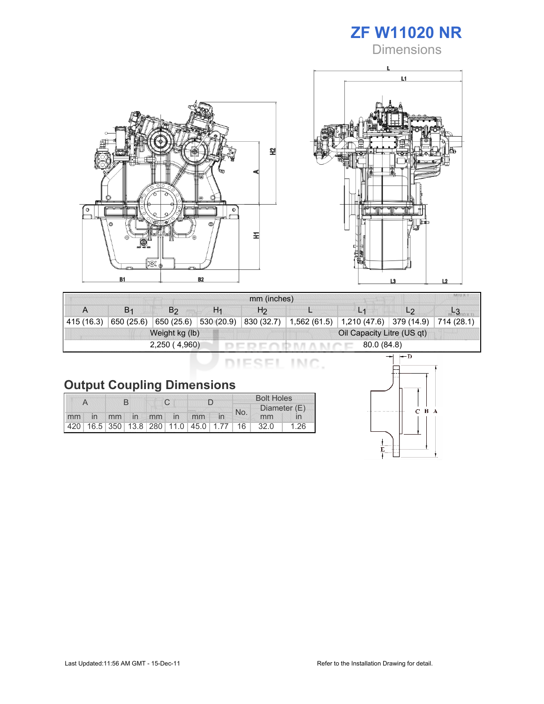

**Dimensions** 





| mm (inches)                 |                |                |                |                |                            |                                                            |                |  |  |  |
|-----------------------------|----------------|----------------|----------------|----------------|----------------------------|------------------------------------------------------------|----------------|--|--|--|
| A                           | B <sub>1</sub> | B <sub>2</sub> | H <sub>1</sub> | H <sub>2</sub> |                            |                                                            | L <sub>2</sub> |  |  |  |
| 415(16.3)                   | 650 (25.6)     | 650 (25.6)     | 530(20.9)      | 830 (32.7)     | 1,562(61.5)                | $\vert$ 1,210 (47.6) $\vert$ 379 (14.9) $\vert$ 714 (28.1) |                |  |  |  |
| Weight kg (lb)              |                |                |                |                | Oil Capacity Litre (US qt) |                                                            |                |  |  |  |
| 2,250(4,960)<br>80.0 (84.8) |                |                |                |                |                            |                                                            |                |  |  |  |

DIESEL INC.

|    |                |  |  |  |             |                                         | <b>Bolt Holes</b> |  |      |      |  |              |  |
|----|----------------|--|--|--|-------------|-----------------------------------------|-------------------|--|------|------|--|--------------|--|
|    |                |  |  |  |             |                                         |                   |  |      | No.  |  | Diameter (E) |  |
| mm | $\overline{m}$ |  |  |  | mm in mm in | mm                                      |                   |  | mm   |      |  |              |  |
|    |                |  |  |  |             | 420 16.5 350 13.8 280 11.0 45.0 1.77 16 |                   |  | 32.0 | 1.26 |  |              |  |